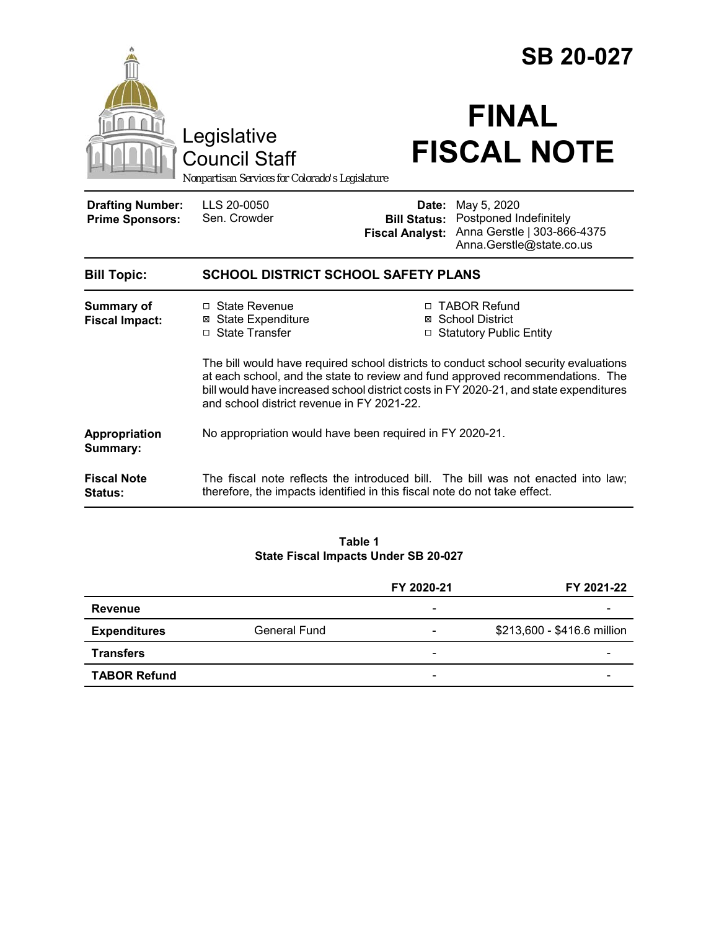|                                                                                        |                                                                                                                                                                                                                                                                                                               |                                    | <b>SB 20-027</b>                                                                                                     |  |  |
|----------------------------------------------------------------------------------------|---------------------------------------------------------------------------------------------------------------------------------------------------------------------------------------------------------------------------------------------------------------------------------------------------------------|------------------------------------|----------------------------------------------------------------------------------------------------------------------|--|--|
| Legislative<br><b>Council Staff</b><br>Nonpartisan Services for Colorado's Legislature |                                                                                                                                                                                                                                                                                                               | <b>FINAL</b><br><b>FISCAL NOTE</b> |                                                                                                                      |  |  |
| <b>Drafting Number:</b><br><b>Prime Sponsors:</b>                                      | LLS 20-0050<br>Sen. Crowder                                                                                                                                                                                                                                                                                   | Date:<br><b>Fiscal Analyst:</b>    | May 5, 2020<br><b>Bill Status: Postponed Indefinitely</b><br>Anna Gerstle   303-866-4375<br>Anna.Gerstle@state.co.us |  |  |
| <b>Bill Topic:</b>                                                                     | <b>SCHOOL DISTRICT SCHOOL SAFETY PLANS</b>                                                                                                                                                                                                                                                                    |                                    |                                                                                                                      |  |  |
| <b>Summary of</b><br><b>Fiscal Impact:</b>                                             | □ State Revenue<br><b>⊠ State Expenditure</b><br>□ State Transfer                                                                                                                                                                                                                                             |                                    | □ TABOR Refund<br>⊠ School District<br>□ Statutory Public Entity                                                     |  |  |
|                                                                                        | The bill would have required school districts to conduct school security evaluations<br>at each school, and the state to review and fund approved recommendations. The<br>bill would have increased school district costs in FY 2020-21, and state expenditures<br>and school district revenue in FY 2021-22. |                                    |                                                                                                                      |  |  |
| Appropriation<br>Summary:                                                              | No appropriation would have been required in FY 2020-21.                                                                                                                                                                                                                                                      |                                    |                                                                                                                      |  |  |
| <b>Fiscal Note</b><br>Status:                                                          | The fiscal note reflects the introduced bill. The bill was not enacted into law;<br>therefore, the impacts identified in this fiscal note do not take effect.                                                                                                                                                 |                                    |                                                                                                                      |  |  |

#### **Table 1 State Fiscal Impacts Under SB 20-027**

|                     |                     | FY 2020-21               | FY 2021-22                  |
|---------------------|---------------------|--------------------------|-----------------------------|
| Revenue             |                     | $\overline{\phantom{a}}$ |                             |
| <b>Expenditures</b> | <b>General Fund</b> | $\overline{\phantom{0}}$ | \$213,600 - \$416.6 million |
| <b>Transfers</b>    |                     | $\overline{\phantom{a}}$ |                             |
| <b>TABOR Refund</b> |                     | $\overline{\phantom{a}}$ |                             |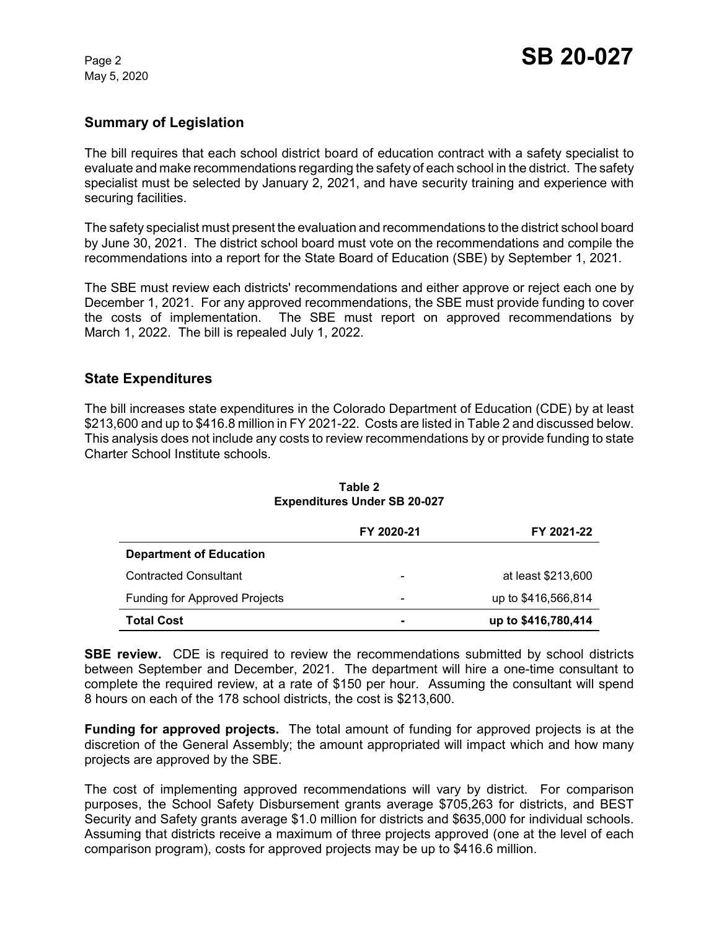May 5, 2020

### **Summary of Legislation**

The bill requires that each school district board of education contract with a safety specialist to evaluate and make recommendations regarding the safety of each school in the district. The safety specialist must be selected by January 2, 2021, and have security training and experience with securing facilities.

The safety specialist must present the evaluation and recommendations to the district school board by June 30, 2021. The district school board must vote on the recommendations and compile the recommendations into a report for the State Board of Education (SBE) by September 1, 2021.

The SBE must review each districts' recommendations and either approve or reject each one by December 1, 2021. For any approved recommendations, the SBE must provide funding to cover the costs of implementation. The SBE must report on approved recommendations by March 1, 2022. The bill is repealed July 1, 2022.

### **State Expenditures**

The bill increases state expenditures in the Colorado Department of Education (CDE) by at least \$213,600 and up to \$416.8 million in FY 2021-22. Costs are listed in Table 2 and discussed below. This analysis does not include any costs to review recommendations by or provide funding to state Charter School Institute schools.

|                                      | FY 2020-21               | FY 2021-22          |
|--------------------------------------|--------------------------|---------------------|
| <b>Department of Education</b>       |                          |                     |
| <b>Contracted Consultant</b>         | $\overline{\phantom{0}}$ | at least \$213,600  |
| <b>Funding for Approved Projects</b> | -                        | up to \$416,566,814 |
| <b>Total Cost</b>                    |                          | up to \$416,780,414 |

#### **Table 2 Expenditures Under SB 20-027**

**SBE review.** CDE is required to review the recommendations submitted by school districts between September and December, 2021. The department will hire a one-time consultant to complete the required review, at a rate of \$150 per hour. Assuming the consultant will spend 8 hours on each of the 178 school districts, the cost is \$213,600.

**Funding for approved projects.** The total amount of funding for approved projects is at the discretion of the General Assembly; the amount appropriated will impact which and how many projects are approved by the SBE.

The cost of implementing approved recommendations will vary by district. For comparison purposes, the School Safety Disbursement grants average \$705,263 for districts, and BEST Security and Safety grants average \$1.0 million for districts and \$635,000 for individual schools. Assuming that districts receive a maximum of three projects approved (one at the level of each comparison program), costs for approved projects may be up to \$416.6 million.